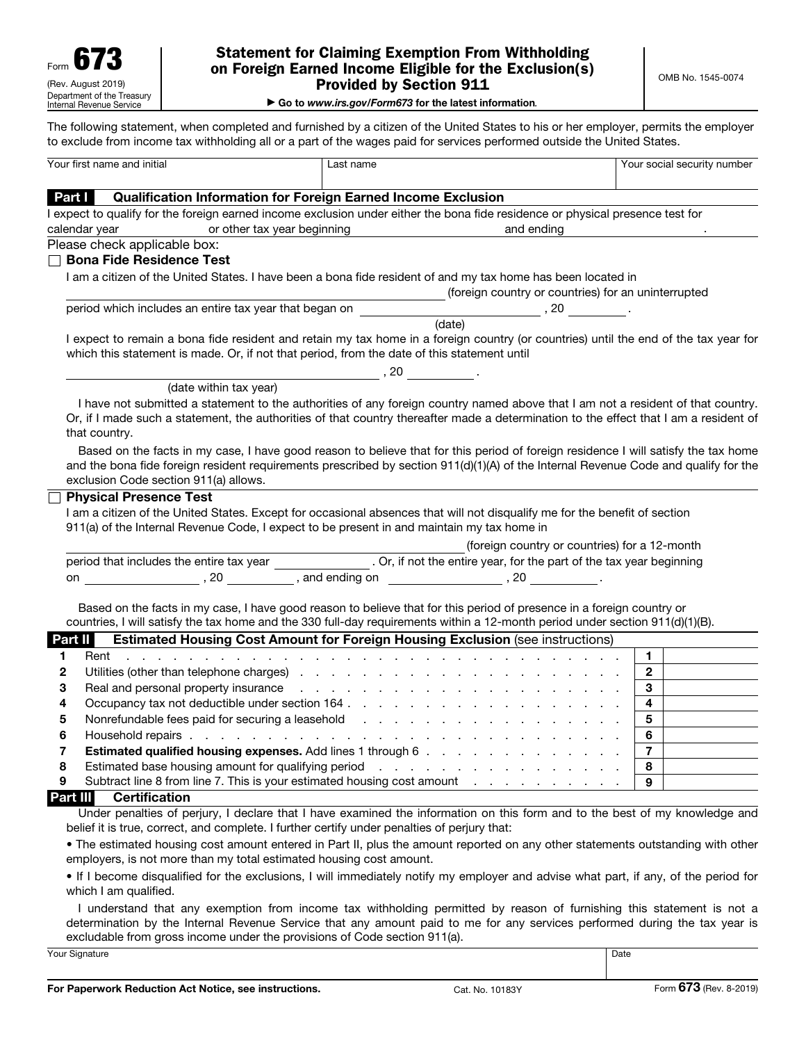#### Statement for Claiming Exemption From Withholding on Foreign Earned Income Eligible for the Exclusion(s) Provided by Section 911

|  | Go to www.irs.gov/Form673 for the latest information. |  |  |
|--|-------------------------------------------------------|--|--|

The following statement, when completed and furnished by a citizen of the United States to his or her employer, permits the employer to exclude from income tax withholding all or a part of the wages paid for services performed outside the United States.

| Your first name and initial                                                                  | Last name                                                                                                                                                                                                                                                                                                                                       | Your social security number |
|----------------------------------------------------------------------------------------------|-------------------------------------------------------------------------------------------------------------------------------------------------------------------------------------------------------------------------------------------------------------------------------------------------------------------------------------------------|-----------------------------|
| <b>Part I</b><br>Qualification Information for Foreign Earned Income Exclusion               |                                                                                                                                                                                                                                                                                                                                                 |                             |
|                                                                                              | I expect to qualify for the foreign earned income exclusion under either the bona fide residence or physical presence test for                                                                                                                                                                                                                  |                             |
| calendar year<br>or other tax year beginning                                                 | and ending                                                                                                                                                                                                                                                                                                                                      |                             |
| Please check applicable box:                                                                 |                                                                                                                                                                                                                                                                                                                                                 |                             |
| $\sqcap$ Bona Fide Residence Test                                                            |                                                                                                                                                                                                                                                                                                                                                 |                             |
|                                                                                              | I am a citizen of the United States. I have been a bona fide resident of and my tax home has been located in                                                                                                                                                                                                                                    |                             |
|                                                                                              | (foreign country or countries) for an uninterrupted                                                                                                                                                                                                                                                                                             |                             |
| period which includes an entire tax year that began on                                       |                                                                                                                                                                                                                                                                                                                                                 |                             |
|                                                                                              | (date)                                                                                                                                                                                                                                                                                                                                          |                             |
| which this statement is made. Or, if not that period, from the date of this statement until  | I expect to remain a bona fide resident and retain my tax home in a foreign country (or countries) until the end of the tax year for                                                                                                                                                                                                            |                             |
|                                                                                              |                                                                                                                                                                                                                                                                                                                                                 |                             |
| (date within tax year)                                                                       |                                                                                                                                                                                                                                                                                                                                                 |                             |
| that country.                                                                                | I have not submitted a statement to the authorities of any foreign country named above that I am not a resident of that country.<br>Or, if I made such a statement, the authorities of that country thereafter made a determination to the effect that I am a resident of                                                                       |                             |
| exclusion Code section 911(a) allows.                                                        | Based on the facts in my case, I have good reason to believe that for this period of foreign residence I will satisfy the tax home<br>and the bona fide foreign resident requirements prescribed by section 911(d)(1)(A) of the Internal Revenue Code and qualify for the                                                                       |                             |
| <b>Physical Presence Test</b>                                                                |                                                                                                                                                                                                                                                                                                                                                 |                             |
|                                                                                              | I am a citizen of the United States. Except for occasional absences that will not disqualify me for the benefit of section                                                                                                                                                                                                                      |                             |
| 911(a) of the Internal Revenue Code, I expect to be present in and maintain my tax home in   |                                                                                                                                                                                                                                                                                                                                                 |                             |
|                                                                                              | (foreign country or countries) for a 12-month                                                                                                                                                                                                                                                                                                   |                             |
|                                                                                              | period that includes the entire tax year ________________. Or, if not the entire year, for the part of the tax year beginning                                                                                                                                                                                                                   |                             |
|                                                                                              |                                                                                                                                                                                                                                                                                                                                                 |                             |
|                                                                                              |                                                                                                                                                                                                                                                                                                                                                 |                             |
| Part II                                                                                      | Based on the facts in my case, I have good reason to believe that for this period of presence in a foreign country or<br>countries, I will satisfy the tax home and the 330 full-day requirements within a 12-month period under section 911(d)(1)(B).<br><b>Estimated Housing Cost Amount for Foreign Housing Exclusion (see instructions)</b> |                             |
| Rent<br>1                                                                                    | and the contract of the contract of the contract of the contract of the contract of the contract of                                                                                                                                                                                                                                             | 1.                          |
| 2                                                                                            |                                                                                                                                                                                                                                                                                                                                                 | $2^{\circ}$                 |
| 3                                                                                            | Real and personal property insurance real contracts and contracts and personal property insurance real contracts                                                                                                                                                                                                                                | 3 <sup>1</sup>              |
| 4                                                                                            |                                                                                                                                                                                                                                                                                                                                                 | $\overline{4}$              |
| 5                                                                                            |                                                                                                                                                                                                                                                                                                                                                 | 5 <sup>5</sup>              |
| 6                                                                                            |                                                                                                                                                                                                                                                                                                                                                 | 6                           |
| <b>Estimated qualified housing expenses.</b> Add lines 1 through 6<br>7                      |                                                                                                                                                                                                                                                                                                                                                 | $\overline{7}$              |
| 8<br>Estimated base housing amount for qualifying period                                     | and the contract of the contract of the contract of                                                                                                                                                                                                                                                                                             | 8                           |
| Subtract line 8 from line 7. This is your estimated housing cost amount<br>9                 | the contract of the contract of the                                                                                                                                                                                                                                                                                                             | 9                           |
| Part III<br><b>Certification</b>                                                             |                                                                                                                                                                                                                                                                                                                                                 |                             |
|                                                                                              | Under penalties of perjury, I declare that I have examined the information on this form and to the best of my knowledge and                                                                                                                                                                                                                     |                             |
| belief it is true, correct, and complete. I further certify under penalties of perjury that: |                                                                                                                                                                                                                                                                                                                                                 |                             |
|                                                                                              | . The estimated housing cost amount entered in Part II, plus the amount reported on any other statements outstanding with other                                                                                                                                                                                                                 |                             |
| employers, is not more than my total estimated housing cost amount.                          |                                                                                                                                                                                                                                                                                                                                                 |                             |

• If I become disqualified for the exclusions, I will immediately notify my employer and advise what part, if any, of the period for which I am qualified.

I understand that any exemption from income tax withholding permitted by reason of furnishing this statement is not a determination by the Internal Revenue Service that any amount paid to me for any services performed during the tax year is excludable from gross income under the provisions of Code section 911(a).

Your Signature **Date**